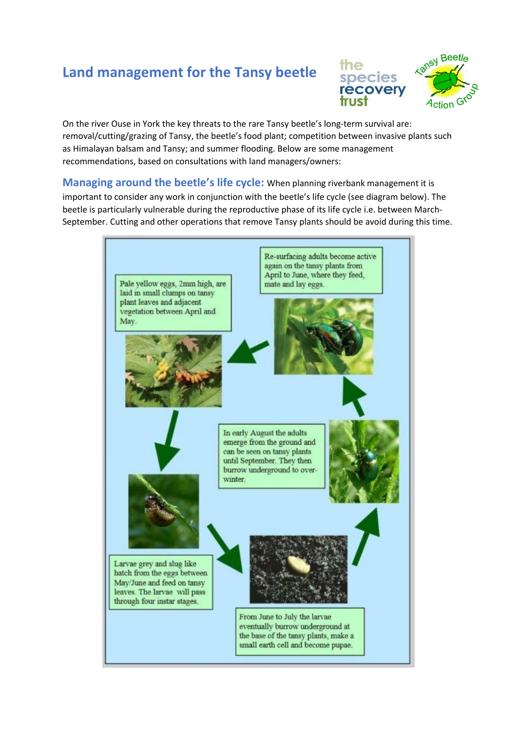## **Land management for the Tansy beetle**



On the river Ouse in York the key threats to the rare Tansy beetle's long-term survival are: removal/cutting/grazing of Tansy, the beetle's food plant; competition between invasive plants such as Himalayan balsam and Tansy; and summer flooding. Below are some management recommendations, based on consultations with land managers/owners:

**Managing around the beetle's life cycle:** When planning riverbank management it is important to consider any work in conjunction with the beetle's life cycle (see diagram below). The beetle is particularly vulnerable during the reproductive phase of its life cycle i.e. between March-September. Cutting and other operations that remove Tansy plants should be avoid during this time.

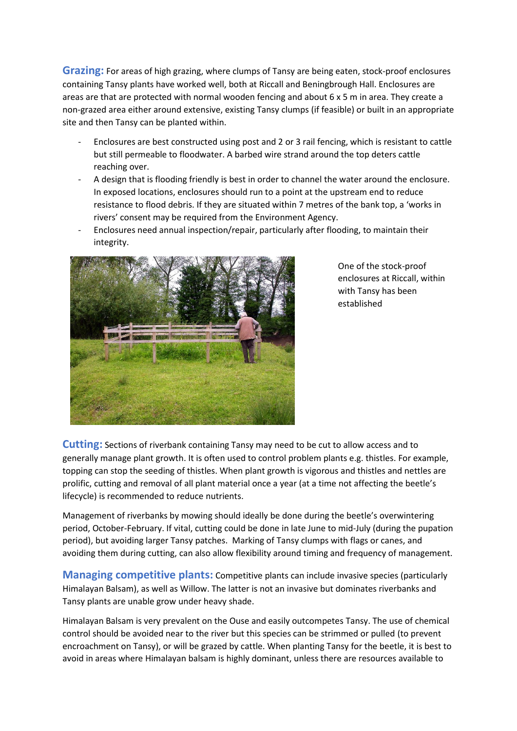**Grazing:** For areas of high grazing, where clumps of Tansy are being eaten, stock-proof enclosures containing Tansy plants have worked well, both at Riccall and Beningbrough Hall. Enclosures are areas are that are protected with normal wooden fencing and about 6 x 5 m in area. They create a non-grazed area either around extensive, existing Tansy clumps (if feasible) or built in an appropriate site and then Tansy can be planted within.

- Enclosures are best constructed using post and 2 or 3 rail fencing, which is resistant to cattle but still permeable to floodwater. A barbed wire strand around the top deters cattle reaching over.
- A design that is flooding friendly is best in order to channel the water around the enclosure. In exposed locations, enclosures should run to a point at the upstream end to reduce resistance to flood debris. If they are situated within 7 metres of the bank top, a 'works in rivers' consent may be required from the Environment Agency.
- Enclosures need annual inspection/repair, particularly after flooding, to maintain their integrity.



One of the stock-proof enclosures at Riccall, within with Tansy has been established

**Cutting:** Sections of riverbank containing Tansy may need to be cut to allow access and to generally manage plant growth. It is often used to control problem plants e.g. thistles. For example, topping can stop the seeding of thistles. When plant growth is vigorous and thistles and nettles are prolific, cutting and removal of all plant material once a year (at a time not affecting the beetle's lifecycle) is recommended to reduce nutrients.

Management of riverbanks by mowing should ideally be done during the beetle's overwintering period, October-February. If vital, cutting could be done in late June to mid-July (during the pupation period), but avoiding larger Tansy patches. Marking of Tansy clumps with flags or canes, and avoiding them during cutting, can also allow flexibility around timing and frequency of management.

**Managing competitive plants:** Competitive plants can include invasive species (particularly Himalayan Balsam), as well as Willow. The latter is not an invasive but dominates riverbanks and Tansy plants are unable grow under heavy shade.

Himalayan Balsam is very prevalent on the Ouse and easily outcompetes Tansy. The use of chemical control should be avoided near to the river but this species can be strimmed or pulled (to prevent encroachment on Tansy), or will be grazed by cattle. When planting Tansy for the beetle, it is best to avoid in areas where Himalayan balsam is highly dominant, unless there are resources available to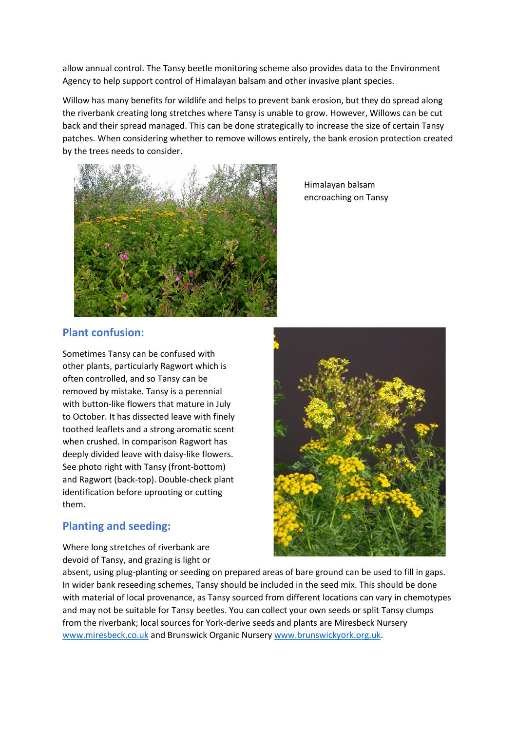allow annual control. The Tansy beetle monitoring scheme also provides data to the Environment Agency to help support control of Himalayan balsam and other invasive plant species.

Willow has many benefits for wildlife and helps to prevent bank erosion, but they do spread along the riverbank creating long stretches where Tansy is unable to grow. However, Willows can be cut back and their spread managed. This can be done strategically to increase the size of certain Tansy patches. When considering whether to remove willows entirely, the bank erosion protection created by the trees needs to consider.



Himalayan balsam encroaching on Tansy

## **Plant confusion:**

Sometimes Tansy can be confused with other plants, particularly Ragwort which is often controlled, and so Tansy can be removed by mistake. Tansy is a perennial with button-like flowers that mature in July to October. It has dissected leave with finely toothed leaflets and a strong aromatic scent when crushed. In comparison Ragwort has deeply divided leave with daisy-like flowers. See photo right with Tansy (front-bottom) and Ragwort (back-top). Double-check plant identification before uprooting or cutting them.

## **Planting and seeding:**

Where long stretches of riverbank are devoid of Tansy, and grazing is light or



absent, using plug-planting or seeding on prepared areas of bare ground can be used to fill in gaps. In wider bank reseeding schemes, Tansy should be included in the seed mix. This should be done with material of local provenance, as Tansy sourced from different locations can vary in chemotypes and may not be suitable for Tansy beetles. You can collect your own seeds or split Tansy clumps from the riverbank; local sources for York-derive seeds and plants are Miresbeck Nursery [www.miresbeck.co.uk](http://www.miresbeck.co.uk/) and Brunswick Organic Nursery [www.brunswickyork.org.uk.](http://www.brunswickyork.org.uk/)